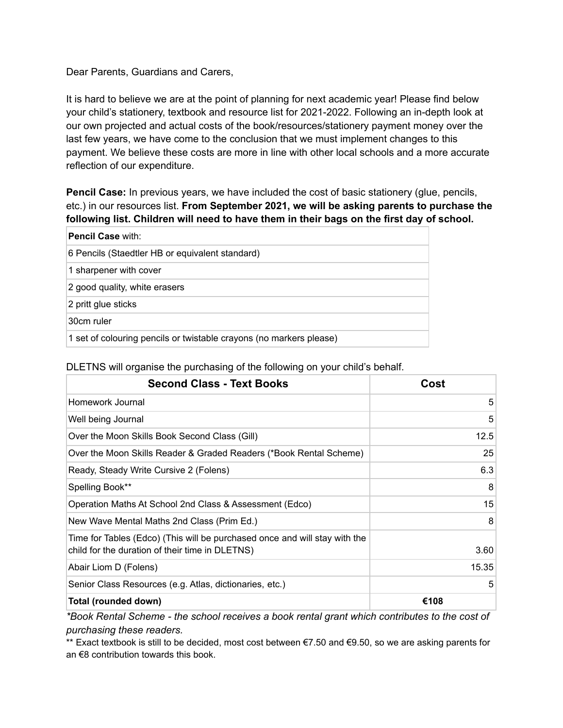Dear Parents, Guardians and Carers,

It is hard to believe we are at the point of planning for next academic year! Please find below your child's stationery, textbook and resource list for 2021-2022. Following an in-depth look at our own projected and actual costs of the book/resources/stationery payment money over the last few years, we have come to the conclusion that we must implement changes to this payment. We believe these costs are more in line with other local schools and a more accurate reflection of our expenditure.

**Pencil Case:** In previous years, we have included the cost of basic stationery (glue, pencils, etc.) in our resources list. **From September 2021, we will be asking parents to purchase the following list. Children will need to have them in their bags on the first day of school.**

| <b>Pencil Case</b> with:                                            |  |
|---------------------------------------------------------------------|--|
| 6 Pencils (Staedtler HB or equivalent standard)                     |  |
| 1 sharpener with cover                                              |  |
| 2 good quality, white erasers                                       |  |
| 2 pritt glue sticks                                                 |  |
| 30cm ruler                                                          |  |
| 1 set of colouring pencils or twistable crayons (no markers please) |  |

| <b>Second Class - Text Books</b>                                                                                              | Cost  |
|-------------------------------------------------------------------------------------------------------------------------------|-------|
| Homework Journal                                                                                                              | 5     |
| Well being Journal                                                                                                            | 5     |
| Over the Moon Skills Book Second Class (Gill)                                                                                 | 12.5  |
| Over the Moon Skills Reader & Graded Readers (*Book Rental Scheme)                                                            | 25    |
| Ready, Steady Write Cursive 2 (Folens)                                                                                        | 6.3   |
| Spelling Book**                                                                                                               | 8     |
| Operation Maths At School 2nd Class & Assessment (Edco)                                                                       | 15    |
| New Wave Mental Maths 2nd Class (Prim Ed.)                                                                                    | 8     |
| Time for Tables (Edco) (This will be purchased once and will stay with the<br>child for the duration of their time in DLETNS) | 3.60  |
| Abair Liom D (Folens)                                                                                                         | 15.35 |
| Senior Class Resources (e.g. Atlas, dictionaries, etc.)                                                                       | 5     |
| Total (rounded down)                                                                                                          | €108  |

DLETNS will organise the purchasing of the following on your child's behalf.

*\*Book Rental Scheme - the school receives a book rental grant which contributes to the cost of purchasing these readers.*

\*\* Exact textbook is still to be decided, most cost between €7.50 and €9.50, so we are asking parents for an €8 contribution towards this book.